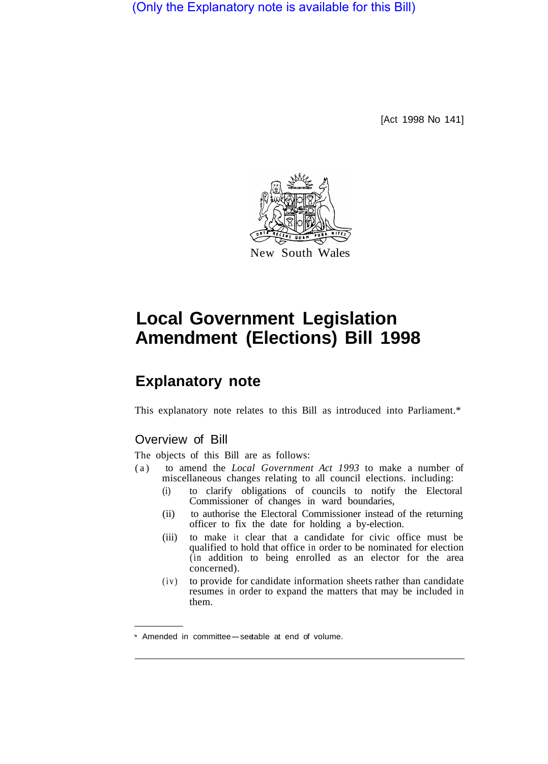(Only the Explanatory note is available for this Bill)

[Act 1998 No 141]



# **Local Government Legislation Amendment (Elections) Bill 1998**

# **Explanatory note**

This explanatory note relates to this Bill as introduced into Parliament.\*

## Overview of Bill

The objects of this Bill are as follows:

- (a) to amend the *Local Government Act 1993* to make a number of miscellaneous changes relating to all council elections. including:
	- (i) to clarify obligations of councils to notify the Electoral Commissioner of changes in ward boundaries,
	- (ii) to authorise the Electoral Commissioner instead of the returning officer to fix the date for holding a by-election.
	- (iii) to make it clear that a candidate for civic office must be qualified to hold that office in order to be nominated for election (in addition to being enrolled as an elector for the area concerned).
	- (iv) to provide for candidate information sheets rather than candidate resumes in order to expand the matters that may be included in them.

<sup>\*</sup> Amended in committee-see table at end of volume.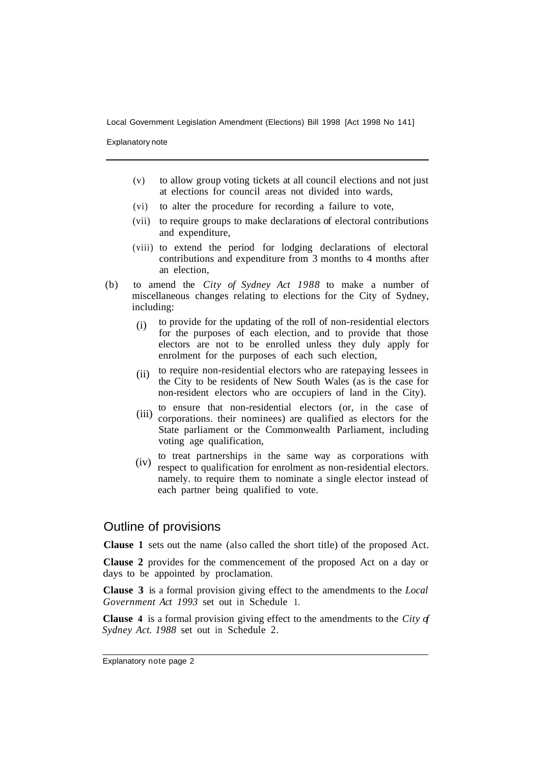Local Government Legislation Amendment (Elections) Bill 1998 [Act 1998 No 141]

Explanatory note

- (v) to allow group voting tickets at all council elections and not just at elections for council areas not divided into wards,
- (vi) to alter the procedure for recording a failure to vote,
- (vii) to require groups to make declarations of electoral contributions and expenditure,
- (viii) to extend the period for lodging declarations of electoral contributions and expenditure from 3 months to 4 months after an election,
- (b) to amend the *City of Sydney Act 1988* to make a number of miscellaneous changes relating to elections for the City of Sydney, including:
	- to provide for the updating of the roIl of non-residential electors for the purposes of each election, and to provide that those electors are not to be enrolled unless they duly apply for enrolment for the purposes of each such election, (i)
	- to require non-residential electors who are ratepaying lessees in the City to be residents of New South Wales (as is the case for non-resident electors who are occupiers of land in the City). (ii)
	- to ensure that non-residential electors (or, in the case of corporations. their nominees) are qualified as electors for the State parliament or the Commonwealth Parliament, including voting age qualification,  $(iii)$
	- to treat partnerships in the same way as corporations with respect to qualification for enrolment as non-residential electors. namely. to require them to nominate a single elector instead of each partner being qualified to vote.  $(iv)$

### Outline of provisions

**Clause 1** sets out the name (also called the short title) of the proposed Act.

**Clause 2** provides for the commencement of the proposed Act on a day or days to be appointed by proclamation.

**Clause 3** is a formal provision giving effect to the amendments to the *Local Government Act 1993* set out in Schedule 1.

**Clause 4** is a formal provision giving effect to the amendments to the *City of Sydney Act. 1988* set out in Schedule 2.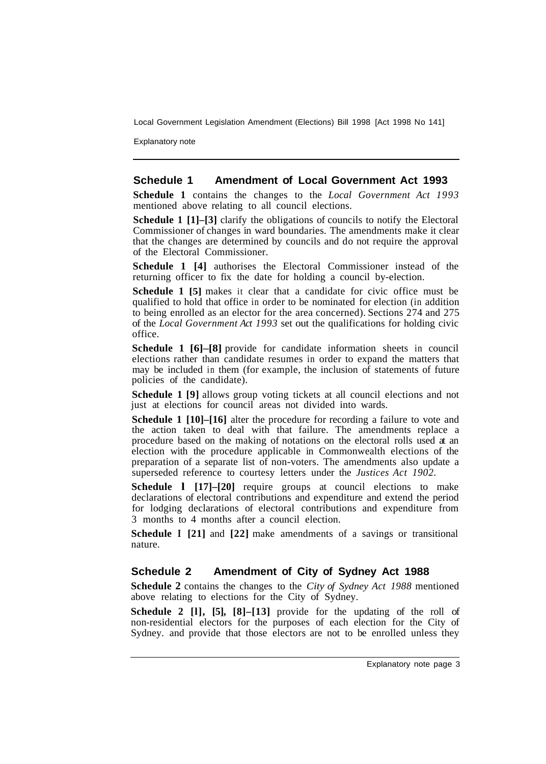Local Government Legislation Amendment (Elections) Bill 1998 [Act 1998 No 141]

Explanatory note

#### **Schedule 1 Amendment of Local Government Act 1993**

**Schedule 1** contains the changes to the *Local Government Act 1993*  mentioned above relating to all council elections.

**Schedule 1 [1]–[3]** clarify the obligations of councils to notify the Electoral Commissioner of changes in ward boundaries. The amendments make it clear that the changes are determined by councils and do not require the approval of the Electoral Commissioner.

**Schedule 1 [4]** authorises the Electoral Commissioner instead of the returning officer to fix the date for holding a council by-election.

**Schedule 1 [5]** makes it clear that a candidate for civic office must be qualified to hold that office in order to be nominated for election (in addition to being enrolled as an elector for the area concerned). Sections 274 and 275 of the *Local Government Act 1993* set out the qualifications for holding civic office.

**Schedule 1 [6]–[8]** provide for candidate information sheets in council elections rather than candidate resumes in order to expand the matters that may be included in them (for example, the inclusion of statements of future policies of the candidate).

**Schedule 1 [9]** allows group voting tickets at all council elections and not just at elections for council areas not divided into wards.

**Schedule 1 [10]–[16]** alter the procedure for recording a failure to vote and the action taken to deal with that failure. The amendments replace a procedure based on the making of notations on the electoral rolls used at an election with the procedure applicable in Commonwealth elections of the preparation of a separate list of non-voters. The amendments also update a superseded reference to courtesy letters under the *Justices Act 1902.* 

**Schedule l [17]–[20]** require groups at council elections to make declarations of electoral contributions and expenditure and extend the period for lodging declarations of electoral contributions and expenditure from 3 months to 4 months after a council election.

**Schedule I [21]** and **[22]** make amendments of a savings or transitional nature.

#### **Schedule 2 Amendment of City of Sydney Act 1988**

**Schedule 2** contains the changes to the *City of Sydney Act 1988* mentioned above relating to elections for the City of Sydney.

**Schedule 2 [l], [5], [8]–[13]** provide for the updating of the roll of non-residential electors for the purposes of each election for the City of Sydney. and provide that those electors are not to be enrolled unless they